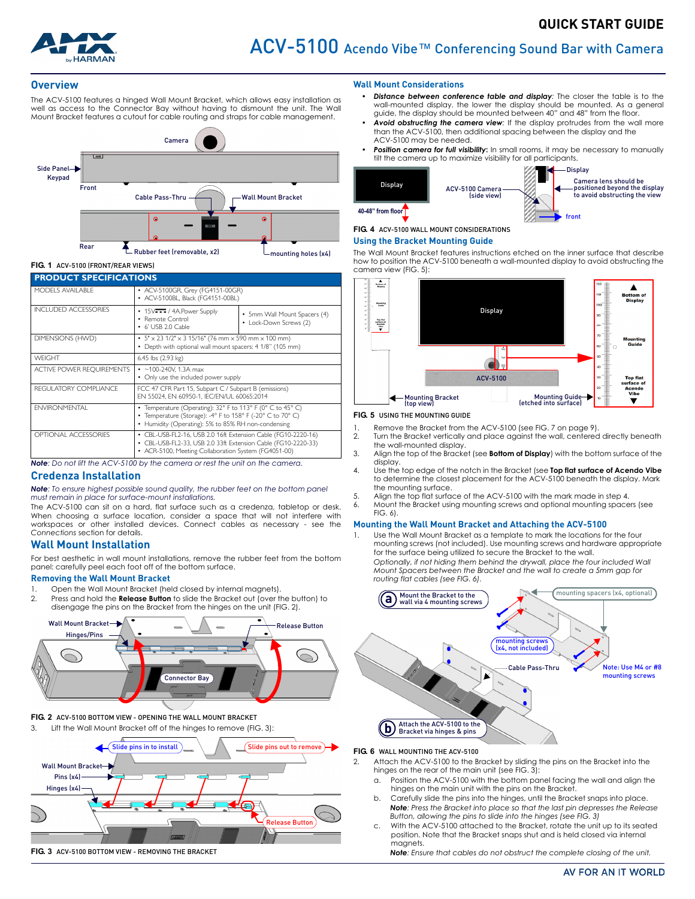

#### **Overview**

The ACV-5100 features a hinged Wall Mount Bracket, which allows easy installation as well as access to the Connector Bay without having to dismount the unit. The Wall Mount Bracket features a cutout for cable routing and straps for cable management.



### **FIG. 1** ACV-5100 (FRONT/REAR VIEWS)

| <b>PRODUCT SPECIFICATIONS</b>    |                                                                                                                                                                                        |                                                        |
|----------------------------------|----------------------------------------------------------------------------------------------------------------------------------------------------------------------------------------|--------------------------------------------------------|
| MODELS AVAILABLE                 | • ACV-5100GR, Grey (FG4151-00GR)<br>• ACV-5100BL, Black (FG4151-00BL)                                                                                                                  |                                                        |
| <b>INCLUDED ACCESSORIES</b>      | • 15V <sub>TT</sub> / 4A.Power Supply<br>• Remote Control<br>6' USB 2.0 Cable                                                                                                          | • 5mm Wall Mount Spacers (4)<br>• Lock-Down Screws (2) |
| DIMENSIONS (HWD)                 | • $5" \times 23$ 1/2" $\times$ 3 15/16" (76 mm $\times$ 590 mm $\times$ 100 mm)<br>Depth with optional wall mount spacers: 4 1/8" (105 mm)                                             |                                                        |
| <b>WFIGHT</b>                    | 6.45 lbs (2.93 kg)                                                                                                                                                                     |                                                        |
| <b>ACTIVE POWER REQUIREMENTS</b> | $\cdot$ ~100-240V, 1.3A max<br>• Only use the included power supply                                                                                                                    |                                                        |
| REGULATORY COMPLIANCE            | FCC 47 CFR Part 15, Subpart C / Subpart B (emissions)<br>EN 55024. EN 60950-1. IEC/EN/UL 60065:2014                                                                                    |                                                        |
| <b>ENVIRONMENTAL</b>             | • Temperature (Operating): 32° F to 113° F (0° C to 45° C)<br>• Temperature (Storage): -4° F to 158° F (-20° C to 70° C)<br>• Humidity (Operating): 5% to 85% RH non-condensing        |                                                        |
| <b>OPTIONAL ACCESSORIES</b>      | • CBL-USB-FL2-16, USB 2.0 16ft Extension Cable (FG10-2220-16)<br>• CBL-USB-FL2-33, USB 2.0 33ft Extension Cable (FG10-2220-33)<br>• ACR-5100, Meeting Collaboration System (FG4051-00) |                                                        |

*Note: Do not lift the ACV-5100 by the camera or rest the unit on the camera.*

### **Credenza Installation**

*Note: To ensure highest possible sound quality, the rubber feet on the bottom panel must remain in place for surface-mount installations.*

The ACV-5100 can sit on a hard, flat surface such as a credenza, tabletop or desk. When choosing a surface location, consider a space that will not interfere with workspaces or other installed devices. Connect cables as necessary - see the *Connections* section for details.

### **Wall Mount Installation**

For best aesthetic in wall mount installations, remove the rubber feet from the bottom panel: carefully peel each foot off of the bottom surface.

### **Removing the Wall Mount Bracket**

- 1. Open the Wall Mount Bracket (held closed by internal magnets).
- 2. Press and hold the **Release Button** to slide the Bracket out (over the button) to disengage the pins on the Bracket from the hinges on the unit (FIG. 2).



<span id="page-0-1"></span>**FIG. 2** ACV-5100 BOTTOM VIEW - OPENING THE WALL MOUNT BRACKET



**FIG. 3** ACV-5100 BOTTOM VIEW - REMOVING THE BRACKET

#### **Wall Mount Considerations**

- *Distance between conference table and display:* The closer the table is to the wall-mounted display. the lower the display should be mounted. As a general guide, the display should be mounted between 40" and 48" from the floor.
- *Avoid obstructing the camera view:* If the display protrudes from the wall more than the ACV-5100, then additional spacing between the display and the ACV-5100 may be needed.
- *Position camera for full visibility***:** In small rooms, it may be necessary to manually tilt the camera up to maximize visibility for all participants.



# **FIG. 4** ACV-5100 WALL MOUNT CONSIDERATIONS

### **Using the Bracket Mounting Guide**

The Wall Mount Bracket features instructions etched on the inner surface that describe how to position the ACV-5100 beneath a wall-mounted display to avoid obstructing the camera view (FIG. 5):



#### **FIG. 5** USING THE MOUNTING GUIDE

- Remove the Bracket from the ACV-5100 (see FIG. 7 on page 9).
- 2. Turn the Bracket vertically and place against the wall, centered directly beneath the wall-mounted display.
- 3. Align the top of the Bracket (see **Bottom of Display**) with the bottom surface of the display.
- 4. Use the top edge of the notch in the Bracket (see **Top flat surface of Acendo Vibe** to determine the closest placement for the ACV-5100 beneath the display. Mark the mounting surface.
- 5. Align the top flat surface of the ACV-5100 with the mark made in step 4.
- 6. Mount the Bracket using mounting screws and optional mounting spacers (see [FIG. 6\)](#page-0-0).

#### **Mounting the Wall Mount Bracket and Attaching the ACV-5100**

1. Use the Wall Mount Bracket as a template to mark the locations for the four mounting screws (not included). Use mounting screws and hardware appropriate for the surface being utilized to secure the Bracket to the wall.

*Optionally, if not hiding them behind the drywall, place the four included Wall Mount Spacers between the Bracket and the wall to create a 5mm gap for routing flat cables (see [FIG. 6](#page-0-0)).* 



#### <span id="page-0-0"></span>**FIG. 6** WALL MOUNTING THE ACV-5100

- 2. Attach the ACV-5100 to the Bracket by sliding the pins on the Bracket into the hinges on the rear of the main unit (see FIG. 3):
	- a. Position the ACV-5100 with the bottom panel facing the wall and align the hinges on the main unit with the pins on the Bracket.
	- b. Carefully slide the pins into the hinges, until the Bracket snaps into place. *Note: Press the Bracket into place so that the last pin depresses the Release Button, allowing the pins to slide into the hinges (see FIG. 3)*
	- c. With the ACV-5100 attached to the Bracket, rotate the unit up to its seated position. Note that the Bracket snaps shut and is held closed via internal magnets.

*Note: Ensure that cables do not obstruct the complete closing of the unit.*